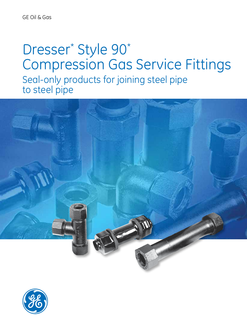# Dresser\* Style 90\* Compression Gas Service Fittings Seal-only products for joining steel pipe to steel pipe



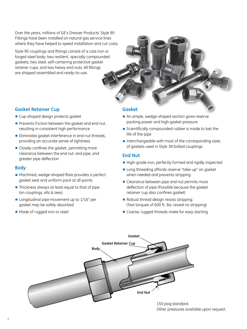Over the years, millions of GE's Dresser Products' Style 90 Fittings have been installed on natural gas service lines where they have helped to speed installation and cut costs.

Style 90 couplings and fittings consist of a cast iron or forged steel body; two resilient, specially compounded gaskets; two steel, self-centering protective gasket retainer cups, and two heavy end nuts. All fittings are shipped assembled and ready-to-use.



## **Gasket Retainer Cup**

- Cup-shaped design protects gasket
- Prevents friction between the gasket and end nut, resulting in consistent high performance
- Eliminates gasket interference in end nut threads, providing an accurate sense of tightness
- Closely confines the gasket, permitting more clearance between the end nut and pipe, and greater pipe deflection

## **Body**

- Machined, wedge-shaped flare provides a perfect gasket seat and uniform pack at all points
- Thickness always at least equal to that of pipe (on couplings, ells & tees)
- Longitudinal pipe movement up to 1/16" per gasket may be safely absorbed
- Made of rugged iron or steel

## **Gasket**

- An ample, wedge-shaped section gives reserve packing power and high gasket pressure
- Scientifically compounded rubber is made to last the life of the pipe
- Interchangeable with most of the corresponding sizes of gaskets used in Style 38 bolted couplings

# **End Nut**

- High-grade iron, perfectly formed and rigidly inspected
- Long threading affords reserve "take-up" on gasket when needed and prevents stripping
- Clearance between pipe and nut permits more deflection of pipe (Possible because the gasket retainer cup also confines gasket)
- Robust thread design resists stripping. (Test torques of 600 ft. lbs. reveal no stripping)
- Coarse, rugged threads make for easy starting



Other pressures available upon request.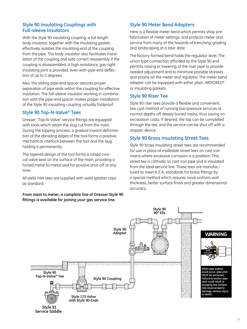# **Style 90 Insulating Couplings with Full-sleeve Insulators**

With the Style 90 insulating coupling, a full length body insulator, together with the insulating gasket, effectively isolates the insulating end of the coupling from the pipe. The body insulator also facilitates installation of the coupling and aids correct reassembly if the coupling is disassembled. A high resistance, gas-tight insulating joint is provided, even with pipe-end deflection of up to 3 degrees.

Also, the sliding pipe-end spacer assures proper separation of pipe ends within the coupling for effective insulation. The full-sleeve insulator working in combination with the pipe-end spacer makes proper installation of the Style 90 insulating coupling virtually foolproof.

# **Style 90 Tap-N-Valve® Tees**

Dresser "Tap-N-Valve" service fittings are equipped with tools which retain the slug cut from the main. During the tapping process, a gradual inward deformation of the abrading edges of the tool forms a positive, mechanical interlock between the tool and the slug, holding it permanently.

The tapered design of the tool forms a raised conical valve seat on the surface of the main, providing a honed metal-to-metal seal for positive shut-off at any time.

All weld inlet tees are supplied with weld splatter caps as standard.

**From main to meter, a complete line of Dresser Style 90 fittings is available for joining your gas service line**

# **Style 90 Meter Bend Adapters**

Here is a flexible meter bend which permits shop prefabrication of meter settings, and protects meter and service from many of the hazards of trenching, grading and landscaping at a later date.

The factory-formed bend holds the regulator level. The union type connection afforded by the Style 90 end permits raising or lowering of the riser pipe to provide needed adjustment and to minimize possible stresses and strains on the meter and regulator. The meter bend adapter can be equipped with either plain, ARMORED® or insulating gaskets.

# **Style 90 Riser Tee**

Style 90 riser tees provide a flexible and convenient, low cost method of running low-pressure services at normal depths off deeply buried mains, thus saving on excavation costs. If desired, the tap can be completed through the tee, and the service can be shut off with a stopper device.

# **Style 90 Brass Insulating Street Tees**

Style 90 brass insulating street tees are recommended for use in place of malleable street tees on cast iron mains where excessive corrosion is a problem. This street tee is cathodic to cast iron pipe and is insulated from the steel service line. These tees are manufactured to meet A.S.A. standards for brass fittings by a special method which assures more uniform wall thickness, better surface finish and greater dimensional accuracy.

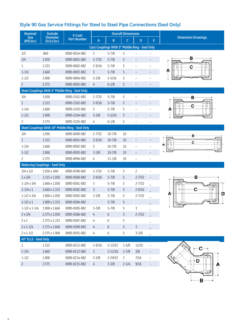# **Style 90 Gas Service Fittings for Steel to Steel Pipe Connections (Seal Only)**

| <b>Nominal</b>             | Outside                               | E-Coat                                           | <b>Overall Dimensions</b> |                                                       |                |                          |                   | <b>Dimension Drawings</b> |  |  |
|----------------------------|---------------------------------------|--------------------------------------------------|---------------------------|-------------------------------------------------------|----------------|--------------------------|-------------------|---------------------------|--|--|
| <b>Size</b><br>(IPS) (in.) | <b>Diameter</b><br>$(0.D.)$ (in.)     | <b>Part Number</b>                               | A                         | B                                                     | C              | D.                       | E                 |                           |  |  |
|                            |                                       |                                                  |                           | <b>Cast Couplings With 5" Middle Ring - Seal Only</b> |                |                          |                   |                           |  |  |
| 1/2                        | .840                                  | 0090-0014-082                                    | $\overline{c}$            | $5 - 7/8$                                             | 5              |                          |                   |                           |  |  |
| 3/4                        | 1.050                                 | 0090-0001-082                                    | $2 - 7/32$                | $5 - 7/8$                                             | 5              | $\qquad \qquad -$        |                   | в                         |  |  |
| $\mathbf{1}$               | 1.315                                 | 0090-0002-082                                    | $2 - 9/16$                | $5 - 7/8$                                             | 5              | $\overline{a}$           |                   | с                         |  |  |
| $1 - 1/4$                  | 1.660                                 | 0090-0003-082                                    | $\overline{3}$            | $5 - 7/8$                                             | 5              | $\overline{\phantom{a}}$ |                   |                           |  |  |
| $1 - 1/2$                  | 1.900                                 | 0090-0004-082                                    | $3 - 3/8$                 | $5 - 5/16$                                            | 5              |                          |                   |                           |  |  |
| $\overline{c}$             | 2.375                                 | 0090-0005-082                                    | 4                         | $6 - 1/8$                                             | 5              |                          |                   |                           |  |  |
|                            |                                       | Steel Couplings With 5" Middle Ring - Seal Only  |                           |                                                       |                |                          |                   |                           |  |  |
| 3/4                        | 1.050                                 | 0090-2101-082                                    | $2 - 7/32$                | $5 - 7/8$                                             | 5              |                          |                   | в                         |  |  |
| $\mathbf{1}$               | 1.315                                 | 0090-2102-082                                    | $2 - 9/16$                | $5 - 7/8$                                             | 5              | $\overline{\phantom{0}}$ |                   | с                         |  |  |
| $1 - 1/4$                  | 1.660                                 | 0090-2103-082                                    | 3                         | $5 - 7/8$                                             | 5              | $\overline{\phantom{0}}$ |                   | А                         |  |  |
| $1 - 1/2$                  | 1.900                                 | 0090-2104-082                                    | $3 - 3/8$                 | $5 - 5/16$                                            | 5              | $\qquad \qquad -$        |                   |                           |  |  |
| $\overline{c}$             | 2.375                                 | 0090-2105-082                                    | 4                         | $6 - 1/8$                                             | 5              | $\overline{\phantom{0}}$ |                   |                           |  |  |
|                            |                                       | Steel Couplings With 10" Middle Ring - Seal Only |                           |                                                       |                |                          |                   |                           |  |  |
| 3/4                        | 1.050                                 | 0090-0090-082                                    | $2 - 7/32$                | $10 - 7/8$                                            | 10             |                          |                   | в                         |  |  |
| $\mathbf{1}$               | 1.315                                 | 0090-0091-082                                    | $2 - 9/16$                | $10 - 7/8$                                            | 10             | $\overline{a}$           |                   | с                         |  |  |
| $1 - 1/4$                  | 1.660                                 | 0090-0092-082                                    | 3                         | $10 - 7/8$                                            | 10             |                          |                   |                           |  |  |
| $1 - 1/2$                  | 1.900                                 | 0090-0093-082                                    | $3 - 3/8$                 | $10-7/8$                                              | 10             | $\overline{\phantom{0}}$ |                   |                           |  |  |
| $\overline{c}$             | 2.375                                 | 0090-0094-082                                    | 4                         | $11 - 1/8$                                            | 10             | $\overline{\phantom{0}}$ |                   |                           |  |  |
|                            | <b>Reducing Couplings - Seal Only</b> |                                                  |                           |                                                       |                |                          |                   |                           |  |  |
| $3/4 \times 1/2$           | 1.050 x .840                          | 0090-0590-082                                    | $2 - 7/32$                | $5 - 7/8$                                             | 5              | $\overline{c}$           |                   |                           |  |  |
| $1 \times 3/4$             | $1.315 \times 1.050$                  | 0090-0580-082                                    | $2 - 9/16$                | $5 - 7/8$                                             | 5              | $2 - 7/32$               |                   | в                         |  |  |
| $1 - 1/4 \times 3/4$       | $1.660 \times 1.050$                  | 0090-0581-082                                    | 3                         | $5 - 7/8$                                             | 5              | $2 - 7/32$               |                   |                           |  |  |
| $1 - 1/4 \times 1$         | $1.660 \times 1.315$                  | 0090-0582-082                                    | $\overline{3}$            | $5 - 7/8$                                             | 5              | $2 - 9/16$               |                   | Α                         |  |  |
| $1 - 1/2 \times 3/4$       | $1.900 \times 1.050$                  | 0090-0583-082                                    | $3 - 3/8$                 | $5 - 7/8$                                             | 5              | $2 - 7/32$               |                   | D                         |  |  |
| $1 - 1/2 \times 1$         | $1.900 \times 1.315$                  | 0090-0584-082                                    |                           | $5 - 7/8$                                             | 5              |                          |                   |                           |  |  |
| $1 - 1/2 \times 1 - 1/4$   | $1.900 \times 1.660$                  | 0090-0585-082                                    | $3 - 3/8$                 | $5 - 7/8$                                             | 5              | 3                        |                   |                           |  |  |
| $2 \times 3/4$             | $2.375 \times 1.050$                  | 0090-0586-082                                    | 4                         | 6                                                     | 5              | $2 - 7/32$               |                   |                           |  |  |
| $2 \times 1$               | 2.375 x 1.315                         | 0090-0587-082                                    | 4                         | 6                                                     | 5              |                          |                   |                           |  |  |
| $2 \times 1 - 1/4$         | $2.375 \times 1.660$                  | 0090-0589-082                                    | 4                         | $\boldsymbol{6}$                                      | 5              | $\overline{3}$           |                   |                           |  |  |
| $2 \times 1 - 1/2$         | 2.375 x 1.900                         | 0090-0591-082                                    | 4                         | $\boldsymbol{6}$                                      | 5              | $3 - 3/8$                |                   |                           |  |  |
| 45° ELLS - Seal Only       |                                       |                                                  |                           |                                                       |                |                          |                   |                           |  |  |
| $\mathbf{1}$               | 1.315                                 | 0090-0212-082                                    | $2 - 9/16$                | $2 - 13/32$                                           | $1 - 5/8$      | 11/32                    |                   |                           |  |  |
| $1 - 1/4$                  | 1.660                                 | 0090-0213-082                                    | $\overline{3}$            | $2 - 11/16$                                           | $1 - 7/8$      | 3/8                      | $\qquad \qquad -$ |                           |  |  |
| $1 - 1/2$                  | 1.900                                 | 0090-0214-082                                    | $3 - 3/8$                 | 2-29/32                                               | $\overline{c}$ | 7/16                     | $\qquad \qquad -$ | D                         |  |  |
| $\mathsf{S}$               | 2.375                                 | 0090-0215-082                                    | $4 -$                     | $3 - 3/8$                                             | $2 - 1/4$      | 9/16                     | $\qquad \qquad -$ |                           |  |  |

- B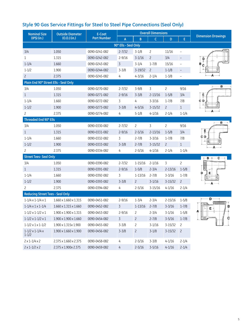|                     | Style 90 Gas Service Fittings for Steel to Steel Pipe Connections (Seal Only) |                    |  |         |  |                |
|---------------------|-------------------------------------------------------------------------------|--------------------|--|---------|--|----------------|
| <b>Nominal Size</b> | <b>Outside Diameter</b>                                                       | E-Coat             |  |         |  |                |
| (IPS)(in.)          | $(0.D.)$ $(in.)$                                                              | <b>Part Number</b> |  | A B C D |  | <b>Dimensi</b> |

| Nominal Size                                 | <b>Outside Didmeter</b>           | <b>E-COUL</b>      |                      |                           |                |                   |                |                           |
|----------------------------------------------|-----------------------------------|--------------------|----------------------|---------------------------|----------------|-------------------|----------------|---------------------------|
| (IPS) (in.)                                  | $(O.D.)$ (in.)                    | <b>Part Number</b> | A                    | B                         | $\mathsf{C}$   | D                 | E              | <b>Dimension Drawings</b> |
|                                              |                                   |                    | 90° Ells - Seal Only |                           |                |                   |                |                           |
| 3/4                                          | 1.050                             | 0090-0241-082      | $2 - 7/32$           | $3 - 1/8$                 | $\overline{c}$ | 11/16             |                |                           |
| $\mathbf{1}$                                 | 1.315                             | 0090-0242-082      | $2 - 9/16$           | $3-1/16$                  | $\overline{c}$ | 3/4               |                | p                         |
| $1 - 1/4$                                    | 1.660                             | 0090-0243-082      | $\overline{3}$       | $3 - 1/4$                 | $1 - 7/8$      | 15/16             | $\overline{a}$ |                           |
| $1 - 1/2$                                    | 1.900                             | 0090-0244-082      | $3 - 3/8$            | $3 - 19/32$               | $\overline{c}$ | $1 - 1/8$         |                |                           |
| $\overline{c}$                               | 2.375                             | 0090-0245-082      | 4                    | $4 - 3/16$                | $2 - 1/4$      | $1 - \frac{3}{8}$ |                |                           |
| Plain End 90° Street Ells - Seal Only        |                                   |                    |                      |                           |                |                   |                |                           |
| 3/4                                          | 1.050                             | 0090-0270-082      | $2 - 7/32$           | $3 - 9/8$                 | 3              | $\overline{c}$    | 9/16           | в                         |
| $\mathbf{1}$                                 | 1.315                             | 0090-0271-082      | $2 - 9/16$           | $3 - 3/8$                 | $2 - 13/16$    | $1 - 5/8$         | 3/4            | Ė                         |
| $1 - 1/4$                                    | 1.660                             | 0090-0272-082      | $\overline{3}$       | 4                         | $3 - 3/16$     | $1 - 7/8$         | 7/8            | с<br>Đ                    |
| $1 - 1/2$                                    | 1.900                             | 0090-0273-082      | $3 - 3/8$            | $4 - 5/16$                | $3 - 15/32$    | $\overline{c}$    | $\mathbf{1}$   |                           |
| $\overline{c}$                               | 2.375                             | 0090-0274-082      | 4                    | $5 - 1/8$                 | $4 - 1/16$     | $2 - 1/4$         | $1 - 1/4$      |                           |
| Threaded End 90° Ells                        |                                   |                    |                      |                           |                |                   |                | в                         |
| 3/4                                          | 1.050                             | 0090-0330-082      | $2 - 7/32$           | $\mathsf{S}$              | $\overline{3}$ | $\overline{c}$    | 9/16           |                           |
| $\mathbf{1}$                                 | 1.315                             | 0090-0331-082      | $2 - 9/16$           | $2 - 5/16$                | $2 - 13/16$    | $1 - 5/8$         | 3/4            | Ę                         |
| $1 - 1/4$                                    | 1.660                             | 0090-0332-082      | 3                    | $2 - 7/8$                 | $3 - 3/16$     | $1 - 7/8$         | 7/8            | СD                        |
| $1 - 1/2$                                    | 1.900                             | 0090-0333-082      | $3 - 3/8$            | $2 - 7/8$                 | $3 - 15/32$    | $\overline{c}$    | $\mathbf{1}$   |                           |
| $\overline{c}$                               | 2.375                             | 0090-0334-082      | 4                    | $2 - 5/16$                | $4 - 1/16$     | $2 - 1/4$         | $1 - 1/4$      |                           |
| <b>Street Tees- Seal Only</b>                |                                   |                    |                      |                           |                |                   |                | в                         |
| 3/4                                          | 1.050                             | 0090-0390-082      | $2 - 7/32$           | $1 - 15/16$               | $2 - 1/16$     | 3                 | $\overline{c}$ |                           |
| $\mathbf{1}$                                 | 1.315                             | 0090-0391-082      | $2 - 9/16$           | $1 - 5/8$                 | $2 - 3/4$      | $2 - 13/16$       | $1 - 5/8$      |                           |
| $1 - 1/4$                                    | 1.660                             | 0090-0392-082      | 3                    | $1 - 13/16$               | $2 - 7/8$      | $3 - 3/16$        | $1 - 7/8$      | D<br>Ε                    |
| $1 - 1/2$                                    | 1.900                             | 0090-0393-082      | $3 - 3/8$            | $\mathsf{2}^{\mathsf{2}}$ | $3 - 1/16$     | $3 - 15/32$       | $\mathbf{2}$   |                           |
| $\overline{c}$                               | 2.375                             | 0090-0394-082      | 4                    | $2 - 5/16$                | $3 - 15/16$    | $4 - 1/16$        | $2 - 1/4$      |                           |
| <b>Reducing Street Tees - Seal Only</b>      |                                   |                    |                      |                           |                |                   |                |                           |
| $1 - 1/4 \times 1 - 1/4 \times 1$            | $1.660 \times 1.660 \times 1.315$ | 0090-0451-082      | $2 - 9/16$           | $1 - \frac{3}{4}$         | $2 - 3/4$      | $2 - 15/16$       | $1 - 5/8$      | D                         |
| $1 - 1/4 \times 1 \times 1 - 1/4$            | $1.660 \times 1.315 \times 1.660$ | 0090-0452-082      | $\overline{3}$       | $1-13/16$                 | $2 - 7/8$      | $3 - 3/16$        | $1 - 7/8$      | B<br>Е                    |
| $1 - 1/2 \times 1 - 1/2 \times 1$            | 1.900 x 1.900 x 1.315             | 0090-0453-082      | $2 - 9/16$           | $\overline{c}$            | $2 - 3/4$      | $3-1/16$          | $1 - 5/8$      |                           |
| $1 - 1/2 \times 1 - 1/2 \times 1$            | $1.900 \times 1.900 \times 1.660$ | 0090-0454-082      | $\overline{3}$       | $\overline{c}$            | $2 - 7/8$      | $3 - 5/16$        | $1 - 7/8$      | с                         |
| $1 - 1/2 \times 1 \times 1 - 1/2$            | 1.900 x 1.315x 1.900              | 0090-0455-082      | $3 - 3/8$            | $\overline{c}$            | $3 - 1/16$     | $3 - 15/32$       | $\overline{c}$ |                           |
| $1 - 1/2 \times 1 - 1/4 \times$<br>$1 - 1/2$ | $1.900 \times 1.660 \times 1.900$ | 0090-0456-082      | $3 - 3/8$            | $\overline{c}$            | $3 - 1/8$      | $3 - 15/32$       | $\overline{c}$ |                           |
| $2 \times 1 - 1/4 \times 2$                  | 2.375 x 1.660 x 2.375             | 0090-0458-082      | 4                    | $2 - 5/16$                | $3 - 3/8$      | $4 - 1/16$        | $2 - 1/4$      |                           |
| $2 \times 1 - 1/2 \times 2$                  | 2.375 x 1.900x 2.375              | 0090-0459-082      | $\overline{4}$       | $2 - 5/16$                | $3 - 5/16$     | $4 - 1/16$        | $2 - 1/4$      |                           |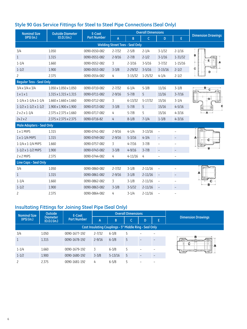# **Style 90 Gas Service Fittings for Steel to Steel Pipe Connections (Seal Only)**

| <b>Nominal Size</b>                     | <b>Outside Diameter</b>           | E-Coat             |                                        | <b>Overall Dimensions</b> |             |                          |             |                           |
|-----------------------------------------|-----------------------------------|--------------------|----------------------------------------|---------------------------|-------------|--------------------------|-------------|---------------------------|
| (IPS) (in.)                             | $(O.D.)$ (in.)                    | <b>Part Number</b> | $\mathsf{A}$                           | B                         | $\mathsf C$ | D                        | E           | <b>Dimension Drawings</b> |
|                                         |                                   |                    | <b>Welding Street Tees - Seal Only</b> |                           |             |                          |             |                           |
| 3/4                                     | 1.050                             | 0090-0550-082      | $2 - 7/32$                             | $2 - 5/8$                 | $2 - 1/4$   | $3 - 1/32$               | $2 - 1/16$  |                           |
| $\mathbf{1}$                            | 1.315                             | 0090-0551-082      | $2 - 9/16$                             | $2 - 7/8$                 | $2 - 1/2$   | $3 - 1/16$               | $1 - 31/32$ | в                         |
| $1 - 1/4$                               | 1.660                             | 0090-0552-082      | 3                                      | $2 - 3/16$                | $3 - 5/16$  | $3 - 7/32$               | $1 - 15/16$ |                           |
| $1 - 1/2$                               | 1.900                             | 0090-0553-082      | $3 - 3/8$                              | $2 - 29/32$               | $3 - 5/16$  | $3 - 15/16$              | $2 - 1/2$   |                           |
| $\overline{c}$                          | 2.375                             | 0090-0554-082      | 4                                      | $3 - 15/32$               | $1 - 25/32$ | $4 - 1/4$                | $2 - 1/2$   |                           |
| <b>Regular Tess - Seal Only</b>         |                                   |                    |                                        |                           |             |                          |             |                           |
| $3/4 \times 3/4 \times 3/4$             | $1.050 \times 1.050 \times 1.050$ | 0090-0710-082      | $2 - 7/32$                             | $6 - 1/4$                 | $5 - 3/8$   | 11/16                    | $3 - 1/8$   | в                         |
| $1 \times 1 \times 1$                   | 1.315 x 1.315 x 1.315             | 0090-0711-082      | $2 - 9/16$                             | $5 - 7/8$                 | 5           | 11/16                    | $3 - 7/16$  |                           |
| $1 - 1/4 \times 1 - 1/4 \times 1 - 1/4$ | $1.660 \times 1.660 \times 1.660$ | 0090-0712-082      | 3                                      | $6 - 13/32$               | $5 - 17/32$ | 15/16                    | $3 - 1/4$   |                           |
| $1 - 1/2 \times 1 - 1/2 \times 1 - 1/2$ | 1.900 x 1.900 x 1.900             | 0090-0713-082      | $3 - 3/8$                              | $5 - 7/8$                 | 5           | 15/16                    | $4 - 5/16$  |                           |
| $2 \times 2 \times 1 - 1/4$             | 2.375 x 2.375 x 1.660             | 0090-0717-082      | 4                                      | $5 - 7/8$                 | 5           | 15/16                    | $4 - 3/16$  |                           |
| 2x2x2                                   | 2.375 x 2.375 x 2.375             | 0090-0716-82       | 4                                      | $8 - 1/8$                 | $7 - 1/4$   | $1 - \frac{3}{8}$        | $4 - 3/16$  |                           |
| <b>Male Adapters - Seal Only</b>        |                                   |                    |                                        |                           |             |                          |             |                           |
| 1 x 1 MIPS                              | 1.315                             | 0090-0741-082      | $2 - 9/16$                             | $4 - 1/4$                 | $3 - 13/16$ | $\equiv$                 |             |                           |
| 1 x 1-1/4 MIPS                          | 1.315                             | 0090-0749-082      | $2 - 9/16$                             | $5 - 3/16$                | $4 - 3/4$   | $\overline{\phantom{a}}$ |             |                           |
| $1 - 1/4 \times 1 - 1/4$ MIPS           | 1.660                             | 0090-0757-082      | 3                                      | $4 - 7/16$                | $3 - 7/8$   | $\overline{\phantom{a}}$ |             |                           |
| 1-1/2 x 1-1/2 MIPS                      | 1.900                             | 0090-0743-082      | $3 - 3/8$                              | $4 - 9/16$                | $3 - 7/8$   | $\qquad \qquad -$        |             |                           |
| 2 x 2 MIPS                              | 2.375                             | 0090-0744-082      | 4                                      | $4 - 11/16$               | 4           |                          |             |                           |
| Line Caps - Seal Only                   |                                   |                    |                                        |                           |             |                          |             |                           |
| 3/4                                     | 1.050                             | 0090-0860-082      | $2 - 7/32$                             | $3 - 1/8$                 | $2 - 11/16$ | $\qquad \qquad -$        |             |                           |
| $\mathbf{1}$                            | 1.315                             | 0090-0861-082      | $2 - 9/16$                             | $3 - 1/8$                 | $2 - 11/16$ | $\qquad \qquad -$        |             |                           |
| $1 - 1/4$                               | 1.660                             | 0090-0862-082      | 3                                      | $3 - 1/8$                 | $2 - 11/16$ | $\overline{\phantom{0}}$ |             |                           |
| $1 - 1/2$                               | 1.900                             | 0090-0863-082      | $3 - 3/8$                              | $3 - 5/32$                | $2 - 11/16$ | $\qquad \qquad -$        |             |                           |
| $\overline{c}$                          | 2.375                             | 0090-0864-082      | 4                                      | $3 - 1/4$                 | $2 - 11/16$ |                          |             |                           |

# **Insultating Fittings for Joining Steel Pipe (Seal Only)**

| <b>Nominal Size</b> | Outside<br><b>Diameter</b><br>(O.D.) (in.) | E-Coat             |            |                                                               | <b>Overall Dimensions</b> |   |   |                           |
|---------------------|--------------------------------------------|--------------------|------------|---------------------------------------------------------------|---------------------------|---|---|---------------------------|
| (IPS) (in.)         |                                            | <b>Part Number</b> | 'A         | B                                                             |                           | D | E | <b>Dimension Drawings</b> |
|                     |                                            |                    |            | <b>Cast Insulating Couplings - 5" Middle Ring - Seal Only</b> |                           |   |   |                           |
| 3/4                 | 1.050                                      | 0090-1677-192      | $2 - 7/32$ | $6 - 3/8$                                                     |                           |   |   |                           |
| $\mathbf{1}$        | 1.315                                      | 0090-1678-192      | $2 - 9/16$ | $6 - 3/8$                                                     | 5                         |   |   | в<br>с                    |
| $1 - 1/4$           | 1.660                                      | 0090-1679-192      | 3          | $6 - 3/8$                                                     |                           |   |   |                           |
| $1 - 1/2$           | 1.900                                      | 0090-1680-192      | $3 - 3/8$  | $5 - 13/16$                                                   | 5                         |   |   |                           |
| $\overline{c}$      | 2.375                                      | 0090-1681-192      | 4          | $6 - 5/8$                                                     |                           |   |   |                           |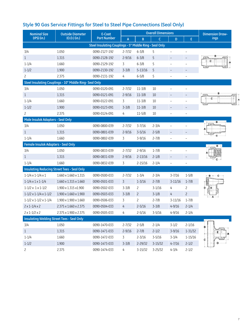| Style 90 Gas Service Fittings for Steel to Steel Pipe Connections (Seal Only) |  |  |
|-------------------------------------------------------------------------------|--|--|
|-------------------------------------------------------------------------------|--|--|

| <b>Nominal Size</b>                                | <b>Outside Diameter</b>                                 | E-Coat                                                  |                | <b>Overall Dimensions</b> | <b>Dimension Draw-</b> |                          |                   |      |
|----------------------------------------------------|---------------------------------------------------------|---------------------------------------------------------|----------------|---------------------------|------------------------|--------------------------|-------------------|------|
| (IPS) (in.)                                        | $(0.D.)$ (in.)                                          | <b>Part Number</b>                                      | A              | $\mathsf B$               | $\mathsf{C}$           | D                        | E.                | ings |
|                                                    |                                                         | Steel Insulating Couplings - 5" Middle Ring - Seal Only |                |                           |                        |                          |                   |      |
| 3/4                                                | 1.050                                                   | 0090-2127-192                                           | $2 - 7/32$     | $6 - 3/8$                 | 5                      | $\overline{\phantom{m}}$ |                   |      |
| $\mathbf{1}$                                       | 1.315                                                   | 0090-2128-192                                           | $2 - 9/16$     | $6 - 3/8$                 | 5                      | $\overline{\phantom{a}}$ | ÷                 |      |
| $1 - 1/4$                                          | 1.660                                                   | 0090-2129-192                                           | 3              | $6 - 3/8$                 | 5                      | $\overline{\phantom{0}}$ |                   |      |
| $1 - 1/2$                                          | 1.900                                                   | 0090-2130-192                                           | $3 - 3/8$      | $5 - 13/16$               | 5                      | $\qquad \qquad -$        |                   |      |
| $\overline{c}$                                     | 2.375                                                   | 0090-2131-192                                           | 4              | $6 - 5/8$                 | 5                      |                          |                   |      |
|                                                    | Steel Insulating Couplings - 10" Middle Ring- Seal Only |                                                         |                |                           |                        |                          |                   |      |
| 3/4                                                | 1.050                                                   | 0090-0120-091                                           | $2 - 7/32$     | $11 - \frac{3}{8}$        | 10                     |                          |                   |      |
| $\mathbf{1}$                                       | 1.315                                                   | 0090-0121-091                                           | $2 - 9/16$     | $11 - \frac{3}{8}$        | 10                     | $\qquad \qquad -$        | ÷                 |      |
| $1 - 1/4$                                          | 1.660                                                   | 0090-0122-091                                           | 3              | $11 - 3/8$                | 10                     |                          |                   |      |
| $1 - 1/2$                                          | 1.900                                                   | 0090-0123-091                                           | $3 - 3/8$      | $11 - \frac{3}{8}$        | 10                     | $\overline{\phantom{a}}$ | $\qquad \qquad -$ |      |
| $\overline{c}$                                     | 2.375                                                   | 0090-0124-091                                           | 4              | $11 - 5/8$                | 10                     |                          |                   |      |
| Male Insulok Adapters - Seal Only                  |                                                         |                                                         |                |                           |                        |                          |                   |      |
| 3/4                                                | 1.050                                                   | 0090-0800-039                                           | $2 - 7/32$     | $3 - 7/16$                | $2 - 3/4$              |                          |                   |      |
| $\mathbf{1}$                                       | 1.315                                                   | 0090-0801-039                                           | $2 - 9/16$     | $3 - 5/16$                | $2 - 5/8$              | $\overline{\phantom{a}}$ |                   |      |
| $1 - 1/4$                                          | 1.660                                                   | 0090-0802-039                                           | 3              | $3 - 9/16$                | $2 - 7/8$              |                          |                   |      |
| <b>Female Insulok Adapters - Seal Only</b>         |                                                         |                                                         |                |                           |                        |                          |                   |      |
| 3/4                                                | 1.050                                                   | 0090-0833-039                                           | $2 - 7/32$     | $2 - 9/16$                | $1 - 7/8$              |                          |                   |      |
| $\mathbf{1}$                                       | 1.315                                                   | 0090-0831-039                                           | $2 - 9/16$     | $2 - 13/16$               | $2 - 1/8$              | $\qquad \qquad -$        |                   |      |
| $1 - 1/4$                                          | 1.660                                                   | 0090-0832-039                                           | 3              | $2 - 15/16$               | $2 - 1/4$              | $\overline{\phantom{0}}$ |                   |      |
| <b>Insulating Reducing Street Tees - Seal Only</b> |                                                         |                                                         |                |                           |                        |                          |                   |      |
| $1 - 1/4 \times 1 - 1/4 \times 1$                  | $1.660 \times 1.660 \times 1.315$                       | 0090-0500-033                                           | $2 - 7/32$     | $1 - 3/4$                 | $2 - 3/4$              | $3 - 7/16$               | $1 - 5/8$         |      |
| $1 - 1/4 \times 1 \times 1 - 1/4$                  | $1.660 \times 1.315 \times 1.660$                       | 0090-0501-033                                           | $\overline{3}$ | $1 - \frac{3}{16}$        | $2 - 7/8$              | $3 - 11/16$              | $1 - 7/8$         |      |
| $1 - 1/2 \times 1 \times 1 - 1/2$                  | 1.900 x 1.315 x 1.900                                   | 0090-0502-033                                           | $3 - 3/8$      | $\overline{c}$            | $3-1/16$               | 4                        | 2                 |      |
| $1 - 1/2 \times 1 - 1/4 \times 1 - 1/2$            | 1.900 x 1.660 x 1.900                                   | 0090-0503-033                                           | $3 - 3/8$      | $\overline{c}$            | $3 - 1/8$              | $\overline{4}$           | $\overline{c}$    |      |
| $1-1/2 \times 1-1/2 \times 1-1/4$                  | $1.900 \times 1.900 \times 1.660$                       | 0090-0506-033                                           | $\overline{3}$ | $\overline{c}$            | $2 - 7/8$              | $3 - 11/16$              | $1 - 7/8$         |      |
| $2 \times 1 - 1/4 \times 2$                        | 2.375 x 1.660 x 2.375                                   | 0090-0504-033                                           | 4              | $2 - 5/16$                | $3 - 3/8$              | $4 - 9/16$               | $2 - 1/4$         |      |
| $2 \times 1 - 1/2 \times 2$                        | 2.375 x 1.900 x 2.375                                   | 0090-0505-033                                           | 4              | $2 - 5/16$                | $3 - 5/16$             | $4 - 9/16$               | $2 - 1/4$         |      |
| <b>Insulating Welding Street Tees - Seal Only</b>  |                                                         |                                                         |                |                           |                        |                          |                   |      |
| 3/4                                                | 1.050                                                   | 0090-1470-033                                           | $2 - 7/32$     | $2 - 5/8$                 | $2 - 1/4$              | $3 - 1/2$                | $2 - 1/16$        | в    |
| $\mathbf{1}$                                       | 1.315                                                   | 0090-1471-033                                           | $2 - 9/16$     | $2 - 7/8$                 | $2 - 1/2$              | $3 - 9/16$               | $1 - 31/32$       |      |
| $1 - 1/4$                                          | 1.660                                                   | 0090-1472-033                                           | 3              | $2 - 3/16$                | $3 - 5/16$             | $3 - 3/4$                | $1 - 15/16$       |      |
| $1 - 1/2$                                          | 1.900                                                   | 0090-1473-033                                           | $3 - 3/8$      | $2 - 29/32$               | $3 - 15/32$            | $4 - 7/16$               | $2 - 1/2$         |      |
| $\overline{c}$                                     | 2.375                                                   | 0090-1474-033                                           | 4              | $3 - 15/32$               | 3-25/32                | $4 - 3/4$                | $2 - 1/2$         |      |